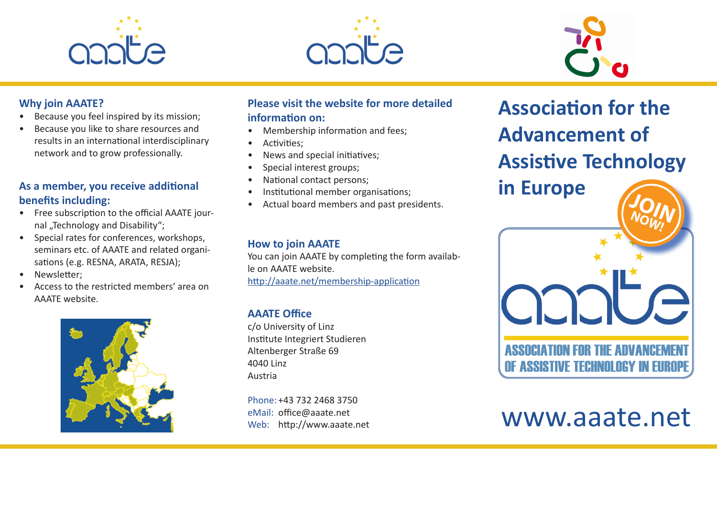





#### **Why join AAATE?**

- Because you feel inspired by its mission;
- Because you like to share resources and results in an international interdisciplinary network and to grow professionally.

# **As a member, you receive additional benefits including:**

- Free subscription to the official AAATE journal "Technology and Disability";
- Special rates for conferences, workshops, seminars etc. of AAATE and related organisations (e.g. RESNA, ARATA, RESJA);
- Newsletter:
- Access to the restricted members' area on AAATE website.



### **Please visit the website for more detailed information on:**

- Membership information and fees;
- Activities;
- News and special initiatives;
- Special interest groups;
- National contact persons;
- Institutional member organisations;
- Actual board members and past presidents.

### **How to join AAATE**

You can join AAATE by completing the form available on AAATE website. http://aaate.net/membership-application

# **AAATE Office**

c/o University of Linz Institute Integriert Studieren Altenberger Straße 69 4040 Linz Austria

Phone: +43 732 2468 3750 eMail: office@aaate.net Web: http://www.aaate.net **Association for the Advancement of Assistive Technology in Europe** NE ASSISTIVE TECHNILINGY IN FUR

# www.aaate.net